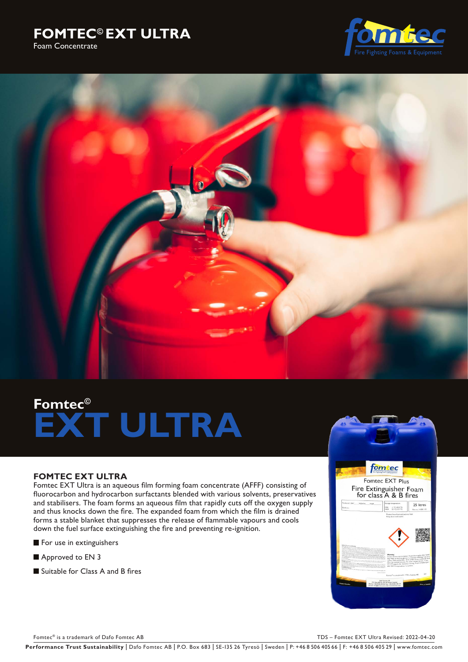





# **Fomtec© EXT ULTRA**

# **FOMTEC EXT ULTRA**

Fomtec EXT Ultra is an aqueous film forming foam concentrate (AFFF) consisting of fluorocarbon and hydrocarbon surfactants blended with various solvents, preservatives and stabilisers. The foam forms an aqueous film that rapidly cuts off the oxygen supply and thus knocks down the fire. The expanded foam from which the film is drained forms a stable blanket that suppresses the release of flammable vapours and cools down the fuel surface extinguishing the fire and preventing re-ignition.

- For use in extinguishers
- Approved to EN 3
- Suitable for Class A and B fires



Fomtec® is a trademark of Dafo Fomtec AB TDS – Fomtec EXT Ultra Revised: 2022-04-20

Performance Trust Sustainability | Dafo Fomtec AB | P.O. Box 683 | SE-135 26 Tyresö | Sweden | P: +46 8 506 405 66 | F: +46 8 506 405 29 | www.fomtec.com